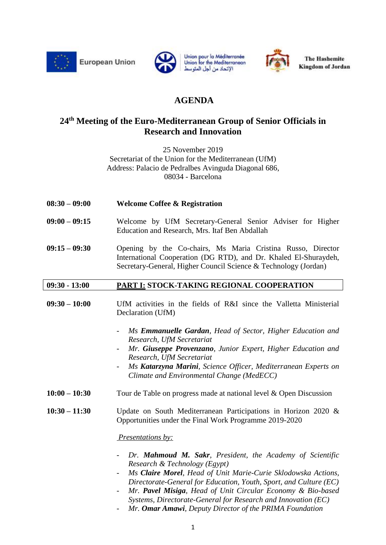

**European Union** 







**The Hashemite Kingdom of Jordan** 

## **AGENDA**

### **24 th Meeting of the Euro-Mediterranean Group of Senior Officials in Research and Innovation**

25 November 2019 Secretariat of the Union for the Mediterranean (UfM) Address: Palacio de Pedralbes Avinguda Diagonal 686, 08034 - Barcelona

- **08:30 – 09:00 Welcome Coffee & Registration**
- **09:00 – 09:15** Welcome by UfM Secretary-General Senior Adviser for Higher Education and Research, Mrs. Itaf Ben Abdallah
- **09:15 – 09:30** Opening by the Co-chairs, Ms Maria Cristina Russo, Director International Cooperation (DG RTD), and Dr. Khaled El-Shuraydeh, Secretary-General, Higher Council Science & Technology (Jordan)

#### **09:30 - 13:00 PART I: STOCK-TAKING REGIONAL COOPERATION**

- **09:30 – 10:00** UfM activities in the fields of R&I since the Valletta Ministerial Declaration (UfM)
	- *Ms Emmanuelle Gardan, Head of Sector, Higher Education and Research, UfM Secretariat*
	- *Mr. Giuseppe Provenzano, Junior Expert, Higher Education and Research, UfM Secretariat*
	- *Ms Katarzyna Marini, Science Officer, Mediterranean Experts on Climate and Environmental Change (MedECC)*
- **10:00 – 10:30** Tour de Table on progress made at national level & Open Discussion

**10:30 – 11:30** Update on South Mediterranean Participations in Horizon 2020 & Opportunities under the Final Work Programme 2019-2020

*Presentations by:* 

- *Dr. Mahmoud M. Sakr, President, the Academy of Scientific Research & Technology (Egypt)*
- *Ms Claire Morel, Head of Unit Marie-Curie Sklodowska Actions, Directorate-General for Education, Youth, Sport, and Culture (EC)*
- *Mr. Pavel Misiga, Head of Unit Circular Economy & Bio-based Systems, Directorate-General for Research and Innovation (EC)*
- *Mr. Omar Amawi, Deputy Director of the PRIMA Foundation*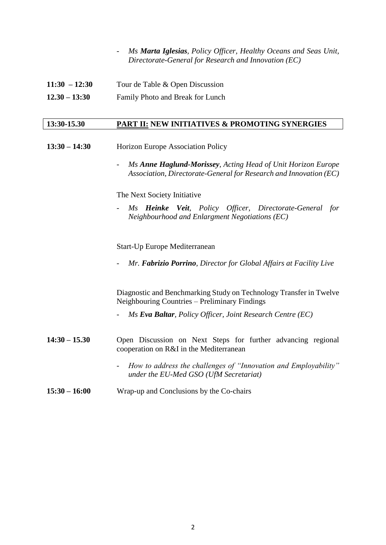- *Ms Marta Iglesias, Policy Officer, Healthy Oceans and Seas Unit, Directorate-General for Research and Innovation (EC)*

| $11:30 - 12:30$ | Tour de Table & Open Discussion |
|-----------------|---------------------------------|
|                 |                                 |

**12.30 – 13:30** Family Photo and Break for Lunch

#### **13:30-15.30 PART II: NEW INITIATIVES & PROMOTING SYNERGIES**

- **13:30 – 14:30** Horizon Europe Association Policy
	- *Ms Anne Haglund-Morissey, Acting Head of Unit Horizon Europe Association, Directorate-General for Research and Innovation (EC)*

The Next Society Initiative

- *Ms Heinke Veit, Policy Officer, Directorate-General for Neighbourhood and Enlargment Negotiations (EC)*

Start-Up Europe Mediterranean

- *Mr. Fabrizio Porrino, Director for Global Affairs at Facility Live*

Diagnostic and Benchmarking Study on Technology Transfer in Twelve Neighbouring Countries – Preliminary Findings

- *Ms Eva Baltar, Policy Officer, Joint Research Centre (EC)*
- **14:30 – 15.30** Open Discussion on Next Steps for further advancing regional cooperation on R&I in the Mediterranean
	- *How to address the challenges of "Innovation and Employability" under the EU-Med GSO (UfM Secretariat)*

#### **15:30 – 16:00** Wrap-up and Conclusions by the Co-chairs